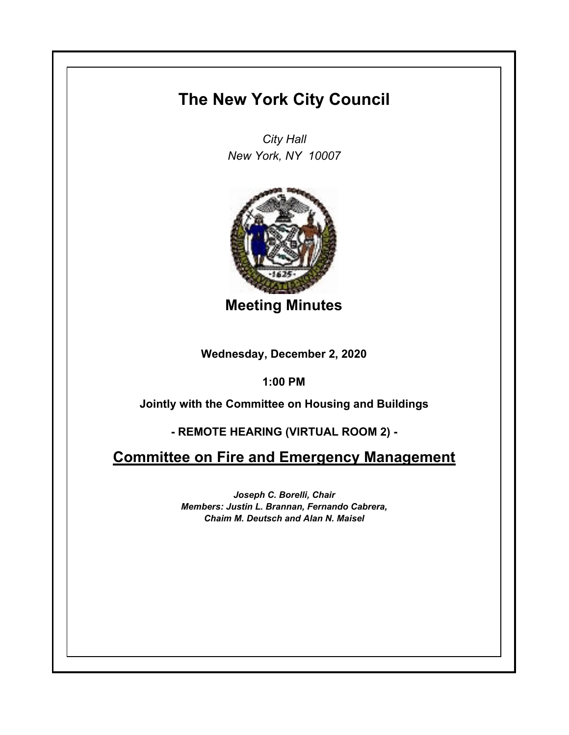## **The New York City Council**

*City Hall New York, NY 10007*



**Meeting Minutes**

**Wednesday, December 2, 2020**

**1:00 PM**

**Jointly with the Committee on Housing and Buildings**

**- REMOTE HEARING (VIRTUAL ROOM 2) -**

**Committee on Fire and Emergency Management**

*Joseph C. Borelli, Chair Members: Justin L. Brannan, Fernando Cabrera, Chaim M. Deutsch and Alan N. Maisel*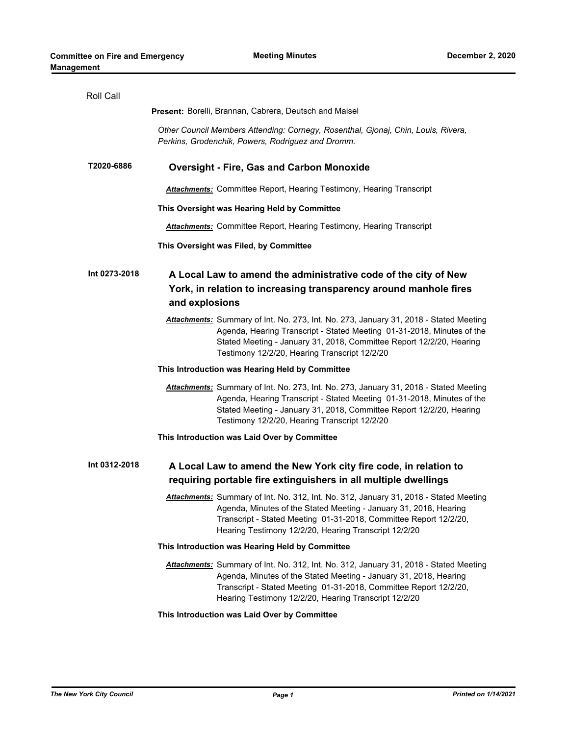| Roll Call     |                                                                                                                                                                                                                                                                                          |
|---------------|------------------------------------------------------------------------------------------------------------------------------------------------------------------------------------------------------------------------------------------------------------------------------------------|
|               | <b>Present: Borelli, Brannan, Cabrera, Deutsch and Maisel</b>                                                                                                                                                                                                                            |
|               | Other Council Members Attending: Cornegy, Rosenthal, Gjonaj, Chin, Louis, Rivera,<br>Perkins, Grodenchik, Powers, Rodriguez and Dromm.                                                                                                                                                   |
| T2020-6886    | <b>Oversight - Fire, Gas and Carbon Monoxide</b>                                                                                                                                                                                                                                         |
|               | Attachments: Committee Report, Hearing Testimony, Hearing Transcript                                                                                                                                                                                                                     |
|               | This Oversight was Hearing Held by Committee                                                                                                                                                                                                                                             |
|               | <b>Attachments:</b> Committee Report, Hearing Testimony, Hearing Transcript                                                                                                                                                                                                              |
|               | This Oversight was Filed, by Committee                                                                                                                                                                                                                                                   |
| Int 0273-2018 | A Local Law to amend the administrative code of the city of New<br>York, in relation to increasing transparency around manhole fires<br>and explosions                                                                                                                                   |
|               | Attachments: Summary of Int. No. 273, Int. No. 273, January 31, 2018 - Stated Meeting<br>Agenda, Hearing Transcript - Stated Meeting 01-31-2018, Minutes of the<br>Stated Meeting - January 31, 2018, Committee Report 12/2/20, Hearing<br>Testimony 12/2/20, Hearing Transcript 12/2/20 |
|               | This Introduction was Hearing Held by Committee                                                                                                                                                                                                                                          |
|               | Attachments: Summary of Int. No. 273, Int. No. 273, January 31, 2018 - Stated Meeting<br>Agenda, Hearing Transcript - Stated Meeting 01-31-2018, Minutes of the<br>Stated Meeting - January 31, 2018, Committee Report 12/2/20, Hearing<br>Testimony 12/2/20, Hearing Transcript 12/2/20 |
|               | This Introduction was Laid Over by Committee                                                                                                                                                                                                                                             |
| Int 0312-2018 | A Local Law to amend the New York city fire code, in relation to<br>requiring portable fire extinguishers in all multiple dwellings                                                                                                                                                      |
|               | Attachments: Summary of Int. No. 312, Int. No. 312, January 31, 2018 - Stated Meeting<br>Agenda, Minutes of the Stated Meeting - January 31, 2018, Hearing<br>Transcript - Stated Meeting 01-31-2018, Committee Report 12/2/20,<br>Hearing Testimony 12/2/20, Hearing Transcript 12/2/20 |
|               | This Introduction was Hearing Held by Committee                                                                                                                                                                                                                                          |
|               | Attachments: Summary of Int. No. 312, Int. No. 312, January 31, 2018 - Stated Meeting<br>Agenda, Minutes of the Stated Meeting - January 31, 2018, Hearing<br>Transcript - Stated Meeting 01-31-2018, Committee Report 12/2/20,<br>Hearing Testimony 12/2/20, Hearing Transcript 12/2/20 |
|               | This Introduction was Laid Over by Committee                                                                                                                                                                                                                                             |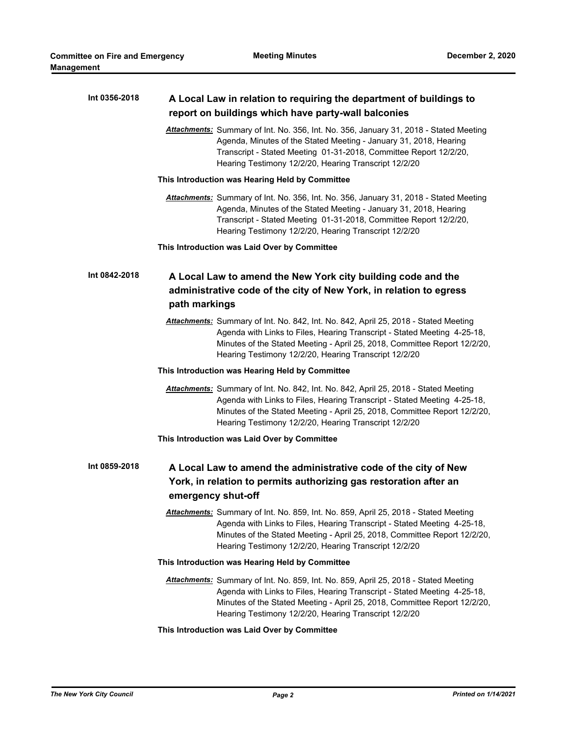| Int 0356-2018 | A Local Law in relation to requiring the department of buildings to                                                                                                                                                                                                                                   |
|---------------|-------------------------------------------------------------------------------------------------------------------------------------------------------------------------------------------------------------------------------------------------------------------------------------------------------|
|               | report on buildings which have party-wall balconies                                                                                                                                                                                                                                                   |
|               | Attachments: Summary of Int. No. 356, Int. No. 356, January 31, 2018 - Stated Meeting<br>Agenda, Minutes of the Stated Meeting - January 31, 2018, Hearing<br>Transcript - Stated Meeting 01-31-2018, Committee Report 12/2/20,<br>Hearing Testimony 12/2/20, Hearing Transcript 12/2/20              |
|               | This Introduction was Hearing Held by Committee                                                                                                                                                                                                                                                       |
|               | Attachments: Summary of Int. No. 356, Int. No. 356, January 31, 2018 - Stated Meeting<br>Agenda, Minutes of the Stated Meeting - January 31, 2018, Hearing<br>Transcript - Stated Meeting 01-31-2018, Committee Report 12/2/20,<br>Hearing Testimony 12/2/20, Hearing Transcript 12/2/20              |
|               | This Introduction was Laid Over by Committee                                                                                                                                                                                                                                                          |
| Int 0842-2018 | A Local Law to amend the New York city building code and the                                                                                                                                                                                                                                          |
|               | administrative code of the city of New York, in relation to egress<br>path markings                                                                                                                                                                                                                   |
|               | Attachments: Summary of Int. No. 842, Int. No. 842, April 25, 2018 - Stated Meeting<br>Agenda with Links to Files, Hearing Transcript - Stated Meeting 4-25-18,<br>Minutes of the Stated Meeting - April 25, 2018, Committee Report 12/2/20,<br>Hearing Testimony 12/2/20, Hearing Transcript 12/2/20 |
|               | This Introduction was Hearing Held by Committee                                                                                                                                                                                                                                                       |
|               | Attachments: Summary of Int. No. 842, Int. No. 842, April 25, 2018 - Stated Meeting<br>Agenda with Links to Files, Hearing Transcript - Stated Meeting 4-25-18,<br>Minutes of the Stated Meeting - April 25, 2018, Committee Report 12/2/20,<br>Hearing Testimony 12/2/20, Hearing Transcript 12/2/20 |
|               | This Introduction was Laid Over by Committee                                                                                                                                                                                                                                                          |
| Int 0859-2018 | A Local Law to amend the administrative code of the city of New<br>York, in relation to permits authorizing gas restoration after an<br>emergency shut-off                                                                                                                                            |
|               | Attachments: Summary of Int. No. 859, Int. No. 859, April 25, 2018 - Stated Meeting<br>Agenda with Links to Files, Hearing Transcript - Stated Meeting 4-25-18,<br>Minutes of the Stated Meeting - April 25, 2018, Committee Report 12/2/20,<br>Hearing Testimony 12/2/20, Hearing Transcript 12/2/20 |
|               | This Introduction was Hearing Held by Committee                                                                                                                                                                                                                                                       |
|               | Attachments: Summary of Int. No. 859, Int. No. 859, April 25, 2018 - Stated Meeting<br>Agenda with Links to Files, Hearing Transcript - Stated Meeting 4-25-18,<br>Minutes of the Stated Meeting - April 25, 2018, Committee Report 12/2/20,<br>Hearing Testimony 12/2/20, Hearing Transcript 12/2/20 |
|               | This Introduction was Laid Over by Committee                                                                                                                                                                                                                                                          |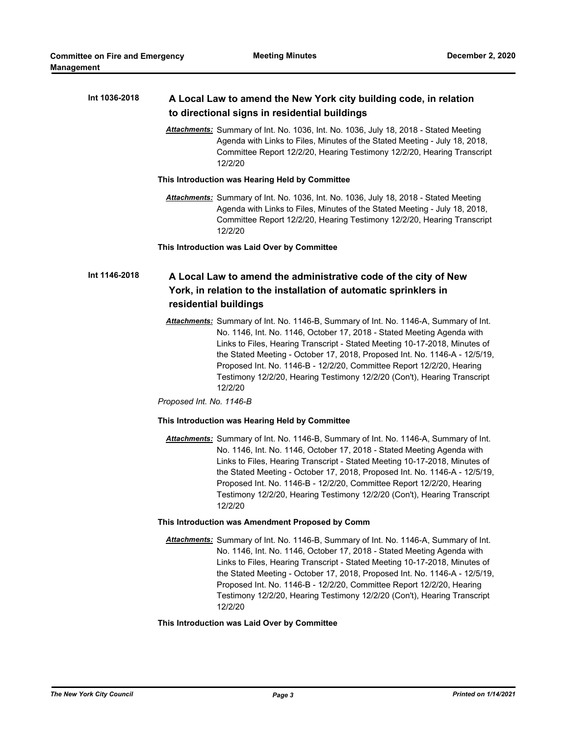| Int 1036-2018 | A Local Law to amend the New York city building code, in relation<br>to directional signs in residential buildings                                                                                                                                                                                                                                                                                                                                                                         |
|---------------|--------------------------------------------------------------------------------------------------------------------------------------------------------------------------------------------------------------------------------------------------------------------------------------------------------------------------------------------------------------------------------------------------------------------------------------------------------------------------------------------|
|               |                                                                                                                                                                                                                                                                                                                                                                                                                                                                                            |
|               | Attachments: Summary of Int. No. 1036, Int. No. 1036, July 18, 2018 - Stated Meeting<br>Agenda with Links to Files, Minutes of the Stated Meeting - July 18, 2018,<br>Committee Report 12/2/20, Hearing Testimony 12/2/20, Hearing Transcript<br>12/2/20                                                                                                                                                                                                                                   |
|               | This Introduction was Hearing Held by Committee                                                                                                                                                                                                                                                                                                                                                                                                                                            |
|               | Attachments: Summary of Int. No. 1036, Int. No. 1036, July 18, 2018 - Stated Meeting<br>Agenda with Links to Files, Minutes of the Stated Meeting - July 18, 2018,<br>Committee Report 12/2/20, Hearing Testimony 12/2/20, Hearing Transcript<br>12/2/20                                                                                                                                                                                                                                   |
|               | This Introduction was Laid Over by Committee                                                                                                                                                                                                                                                                                                                                                                                                                                               |
| Int 1146-2018 | A Local Law to amend the administrative code of the city of New<br>York, in relation to the installation of automatic sprinklers in                                                                                                                                                                                                                                                                                                                                                        |
|               | residential buildings                                                                                                                                                                                                                                                                                                                                                                                                                                                                      |
|               | Attachments: Summary of Int. No. 1146-B, Summary of Int. No. 1146-A, Summary of Int.<br>No. 1146, Int. No. 1146, October 17, 2018 - Stated Meeting Agenda with<br>Links to Files, Hearing Transcript - Stated Meeting 10-17-2018, Minutes of<br>the Stated Meeting - October 17, 2018, Proposed Int. No. 1146-A - 12/5/19,<br>Proposed Int. No. 1146-B - 12/2/20, Committee Report 12/2/20, Hearing<br>Testimony 12/2/20, Hearing Testimony 12/2/20 (Con't), Hearing Transcript<br>12/2/20 |
|               | Proposed Int. No. 1146-B                                                                                                                                                                                                                                                                                                                                                                                                                                                                   |
|               | This Introduction was Hearing Held by Committee                                                                                                                                                                                                                                                                                                                                                                                                                                            |
|               | Attachments: Summary of Int. No. 1146-B, Summary of Int. No. 1146-A, Summary of Int.<br>No. 1146, Int. No. 1146, October 17, 2018 - Stated Meeting Agenda with<br>Links to Files, Hearing Transcript - Stated Meeting 10-17-2018, Minutes of<br>the Stated Meeting - October 17, 2018, Proposed Int. No. 1146-A - 12/5/19,<br>Proposed Int. No. 1146-B - 12/2/20, Committee Report 12/2/20, Hearing<br>Testimony 12/2/20, Hearing Testimony 12/2/20 (Con't), Hearing Transcript<br>12/2/20 |
|               | This Introduction was Amendment Proposed by Comm                                                                                                                                                                                                                                                                                                                                                                                                                                           |
|               | Attachments: Summary of Int. No. 1146-B, Summary of Int. No. 1146-A, Summary of Int.<br>No. 1146, Int. No. 1146, October 17, 2018 - Stated Meeting Agenda with<br>Links to Files, Hearing Transcript - Stated Meeting 10-17-2018, Minutes of<br>the Stated Meeting - October 17, 2018, Proposed Int. No. 1146-A - 12/5/19,<br>Proposed Int. No. 1146-B - 12/2/20, Committee Report 12/2/20, Hearing<br>Testimony 12/2/20, Hearing Testimony 12/2/20 (Con't), Hearing Transcript<br>12/2/20 |
|               | This Introduction was Laid Over by Committee                                                                                                                                                                                                                                                                                                                                                                                                                                               |
|               |                                                                                                                                                                                                                                                                                                                                                                                                                                                                                            |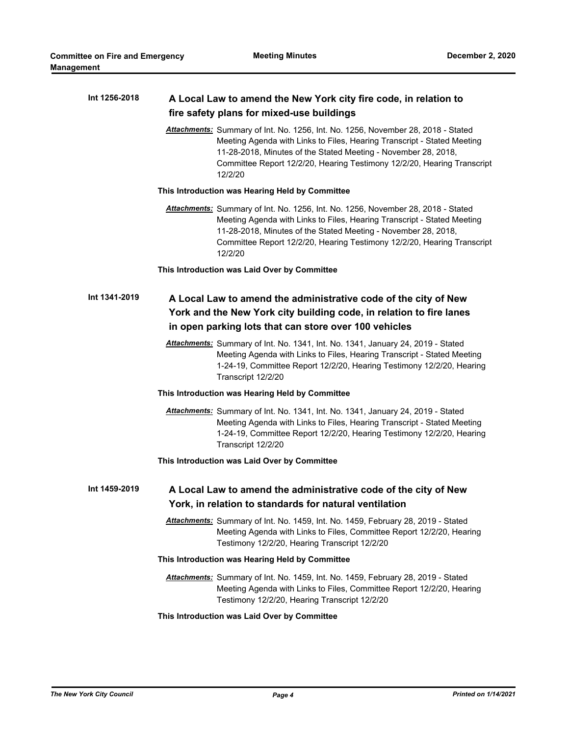| Int 1256-2018 | A Local Law to amend the New York city fire code, in relation to                                                                                                                                                                                                                                                    |
|---------------|---------------------------------------------------------------------------------------------------------------------------------------------------------------------------------------------------------------------------------------------------------------------------------------------------------------------|
|               | fire safety plans for mixed-use buildings                                                                                                                                                                                                                                                                           |
|               | Attachments: Summary of Int. No. 1256, Int. No. 1256, November 28, 2018 - Stated<br>Meeting Agenda with Links to Files, Hearing Transcript - Stated Meeting<br>11-28-2018, Minutes of the Stated Meeting - November 28, 2018,<br>Committee Report 12/2/20, Hearing Testimony 12/2/20, Hearing Transcript<br>12/2/20 |
|               | This Introduction was Hearing Held by Committee                                                                                                                                                                                                                                                                     |
|               | Attachments: Summary of Int. No. 1256, Int. No. 1256, November 28, 2018 - Stated<br>Meeting Agenda with Links to Files, Hearing Transcript - Stated Meeting<br>11-28-2018, Minutes of the Stated Meeting - November 28, 2018,<br>Committee Report 12/2/20, Hearing Testimony 12/2/20, Hearing Transcript<br>12/2/20 |
|               | This Introduction was Laid Over by Committee                                                                                                                                                                                                                                                                        |
| Int 1341-2019 | A Local Law to amend the administrative code of the city of New<br>York and the New York city building code, in relation to fire lanes<br>in open parking lots that can store over 100 vehicles                                                                                                                     |
|               | Attachments: Summary of Int. No. 1341, Int. No. 1341, January 24, 2019 - Stated<br>Meeting Agenda with Links to Files, Hearing Transcript - Stated Meeting<br>1-24-19, Committee Report 12/2/20, Hearing Testimony 12/2/20, Hearing<br>Transcript 12/2/20                                                           |
|               | This Introduction was Hearing Held by Committee                                                                                                                                                                                                                                                                     |
|               | Attachments: Summary of Int. No. 1341, Int. No. 1341, January 24, 2019 - Stated<br>Meeting Agenda with Links to Files, Hearing Transcript - Stated Meeting<br>1-24-19, Committee Report 12/2/20, Hearing Testimony 12/2/20, Hearing<br>Transcript 12/2/20                                                           |
|               | This Introduction was Laid Over by Committee                                                                                                                                                                                                                                                                        |
| Int 1459-2019 | A Local Law to amend the administrative code of the city of New<br>York, in relation to standards for natural ventilation                                                                                                                                                                                           |
|               | Attachments: Summary of Int. No. 1459, Int. No. 1459, February 28, 2019 - Stated<br>Meeting Agenda with Links to Files, Committee Report 12/2/20, Hearing<br>Testimony 12/2/20, Hearing Transcript 12/2/20                                                                                                          |
|               | This Introduction was Hearing Held by Committee                                                                                                                                                                                                                                                                     |
|               | Attachments: Summary of Int. No. 1459, Int. No. 1459, February 28, 2019 - Stated<br>Meeting Agenda with Links to Files, Committee Report 12/2/20, Hearing<br>Testimony 12/2/20, Hearing Transcript 12/2/20                                                                                                          |
|               | This Introduction was Laid Over by Committee                                                                                                                                                                                                                                                                        |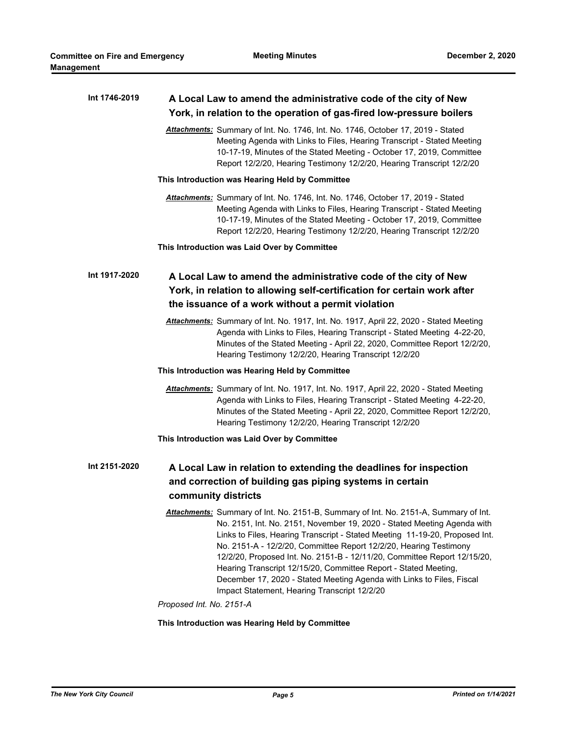| Int 1746-2019 | A Local Law to amend the administrative code of the city of New                                                                                                                                                                                                                                                                                                                                                                                                                                     |
|---------------|-----------------------------------------------------------------------------------------------------------------------------------------------------------------------------------------------------------------------------------------------------------------------------------------------------------------------------------------------------------------------------------------------------------------------------------------------------------------------------------------------------|
|               | York, in relation to the operation of gas-fired low-pressure boilers                                                                                                                                                                                                                                                                                                                                                                                                                                |
|               | Attachments: Summary of Int. No. 1746, Int. No. 1746, October 17, 2019 - Stated<br>Meeting Agenda with Links to Files, Hearing Transcript - Stated Meeting<br>10-17-19, Minutes of the Stated Meeting - October 17, 2019, Committee<br>Report 12/2/20, Hearing Testimony 12/2/20, Hearing Transcript 12/2/20                                                                                                                                                                                        |
|               | This Introduction was Hearing Held by Committee                                                                                                                                                                                                                                                                                                                                                                                                                                                     |
|               | Attachments: Summary of Int. No. 1746, Int. No. 1746, October 17, 2019 - Stated<br>Meeting Agenda with Links to Files, Hearing Transcript - Stated Meeting<br>10-17-19, Minutes of the Stated Meeting - October 17, 2019, Committee<br>Report 12/2/20, Hearing Testimony 12/2/20, Hearing Transcript 12/2/20                                                                                                                                                                                        |
|               | This Introduction was Laid Over by Committee                                                                                                                                                                                                                                                                                                                                                                                                                                                        |
| Int 1917-2020 | A Local Law to amend the administrative code of the city of New<br>York, in relation to allowing self-certification for certain work after<br>the issuance of a work without a permit violation                                                                                                                                                                                                                                                                                                     |
|               |                                                                                                                                                                                                                                                                                                                                                                                                                                                                                                     |
|               | Attachments: Summary of Int. No. 1917, Int. No. 1917, April 22, 2020 - Stated Meeting<br>Agenda with Links to Files, Hearing Transcript - Stated Meeting 4-22-20,<br>Minutes of the Stated Meeting - April 22, 2020, Committee Report 12/2/20,<br>Hearing Testimony 12/2/20, Hearing Transcript 12/2/20                                                                                                                                                                                             |
|               | This Introduction was Hearing Held by Committee                                                                                                                                                                                                                                                                                                                                                                                                                                                     |
|               | Attachments: Summary of Int. No. 1917, Int. No. 1917, April 22, 2020 - Stated Meeting<br>Agenda with Links to Files, Hearing Transcript - Stated Meeting 4-22-20,<br>Minutes of the Stated Meeting - April 22, 2020, Committee Report 12/2/20,<br>Hearing Testimony 12/2/20, Hearing Transcript 12/2/20                                                                                                                                                                                             |
|               | This Introduction was Laid Over by Committee                                                                                                                                                                                                                                                                                                                                                                                                                                                        |
| Int 2151-2020 | A Local Law in relation to extending the deadlines for inspection                                                                                                                                                                                                                                                                                                                                                                                                                                   |
|               | and correction of building gas piping systems in certain<br>community districts                                                                                                                                                                                                                                                                                                                                                                                                                     |
|               | Attachments: Summary of Int. No. 2151-B, Summary of Int. No. 2151-A, Summary of Int.                                                                                                                                                                                                                                                                                                                                                                                                                |
|               | No. 2151, Int. No. 2151, November 19, 2020 - Stated Meeting Agenda with<br>Links to Files, Hearing Transcript - Stated Meeting 11-19-20, Proposed Int.<br>No. 2151-A - 12/2/20, Committee Report 12/2/20, Hearing Testimony<br>12/2/20, Proposed Int. No. 2151-B - 12/11/20, Committee Report 12/15/20,<br>Hearing Transcript 12/15/20, Committee Report - Stated Meeting,<br>December 17, 2020 - Stated Meeting Agenda with Links to Files, Fiscal<br>Impact Statement, Hearing Transcript 12/2/20 |
|               | Proposed Int. No. 2151-A                                                                                                                                                                                                                                                                                                                                                                                                                                                                            |
|               | This Introduction was Hearing Held by Committee                                                                                                                                                                                                                                                                                                                                                                                                                                                     |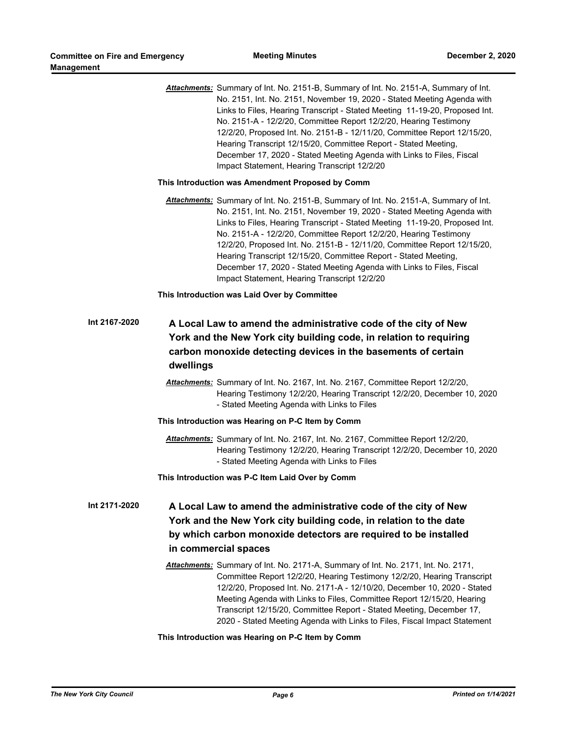|               | Attachments: Summary of Int. No. 2151-B, Summary of Int. No. 2151-A, Summary of Int.<br>No. 2151, Int. No. 2151, November 19, 2020 - Stated Meeting Agenda with<br>Links to Files, Hearing Transcript - Stated Meeting 11-19-20, Proposed Int.<br>No. 2151-A - 12/2/20, Committee Report 12/2/20, Hearing Testimony<br>12/2/20, Proposed Int. No. 2151-B - 12/11/20, Committee Report 12/15/20,<br>Hearing Transcript 12/15/20, Committee Report - Stated Meeting,<br>December 17, 2020 - Stated Meeting Agenda with Links to Files, Fiscal<br>Impact Statement, Hearing Transcript 12/2/20 |
|---------------|---------------------------------------------------------------------------------------------------------------------------------------------------------------------------------------------------------------------------------------------------------------------------------------------------------------------------------------------------------------------------------------------------------------------------------------------------------------------------------------------------------------------------------------------------------------------------------------------|
|               | This Introduction was Amendment Proposed by Comm                                                                                                                                                                                                                                                                                                                                                                                                                                                                                                                                            |
|               | Attachments: Summary of Int. No. 2151-B, Summary of Int. No. 2151-A, Summary of Int.<br>No. 2151, Int. No. 2151, November 19, 2020 - Stated Meeting Agenda with<br>Links to Files, Hearing Transcript - Stated Meeting 11-19-20, Proposed Int.<br>No. 2151-A - 12/2/20, Committee Report 12/2/20, Hearing Testimony<br>12/2/20, Proposed Int. No. 2151-B - 12/11/20, Committee Report 12/15/20,<br>Hearing Transcript 12/15/20, Committee Report - Stated Meeting,<br>December 17, 2020 - Stated Meeting Agenda with Links to Files, Fiscal<br>Impact Statement, Hearing Transcript 12/2/20 |
|               | This Introduction was Laid Over by Committee                                                                                                                                                                                                                                                                                                                                                                                                                                                                                                                                                |
| Int 2167-2020 | A Local Law to amend the administrative code of the city of New<br>York and the New York city building code, in relation to requiring<br>carbon monoxide detecting devices in the basements of certain<br>dwellings<br>Attachments: Summary of Int. No. 2167, Int. No. 2167, Committee Report 12/2/20,<br>Hearing Testimony 12/2/20, Hearing Transcript 12/2/20, December 10, 2020<br>- Stated Meeting Agenda with Links to Files                                                                                                                                                           |
|               | This Introduction was Hearing on P-C Item by Comm                                                                                                                                                                                                                                                                                                                                                                                                                                                                                                                                           |
|               | Attachments: Summary of Int. No. 2167, Int. No. 2167, Committee Report 12/2/20,<br>Hearing Testimony 12/2/20, Hearing Transcript 12/2/20, December 10, 2020<br>- Stated Meeting Agenda with Links to Files                                                                                                                                                                                                                                                                                                                                                                                  |
|               | This Introduction was P-C Item Laid Over by Comm                                                                                                                                                                                                                                                                                                                                                                                                                                                                                                                                            |
| Int 2171-2020 | A Local Law to amend the administrative code of the city of New<br>York and the New York city building code, in relation to the date<br>by which carbon monoxide detectors are required to be installed<br>in commercial spaces<br>Attachments: Summary of Int. No. 2171-A, Summary of Int. No. 2171, Int. No. 2171,<br>Committee Report 12/2/20, Hearing Testimony 12/2/20, Hearing Transcript<br>12/2/20, Proposed Int. No. 2171-A - 12/10/20, December 10, 2020 - Stated<br>Meeting Agenda with Links to Files, Committee Report 12/15/20, Hearing                                       |
|               | Transcript 12/15/20, Committee Report - Stated Meeting, December 17,<br>2020 - Stated Meeting Agenda with Links to Files, Fiscal Impact Statement                                                                                                                                                                                                                                                                                                                                                                                                                                           |

**This Introduction was Hearing on P-C Item by Comm**